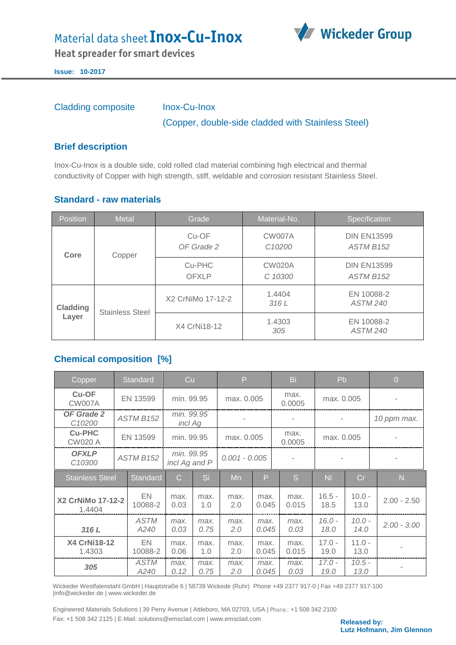## Material data sheet **Inox-Cu-Inox**



**Heat spreader for smart devices** 

**Issue: 10-2017**

Cladding composite Inox-Cu-Inox

(Copper, double-side cladded with Stainless Steel)

#### **Brief description**

Inox-Cu-Inox is a double side, cold rolled clad material combining high electrical and thermal conductivity of Copper with high strength, stiff, weldable and corrosion resistant Stainless Steel.

### **Standard - raw materials**

| <b>Position</b>   | <b>Metal</b>           | Grade                  | Material-No.                        | Specification                               |  |
|-------------------|------------------------|------------------------|-------------------------------------|---------------------------------------------|--|
| Core              | Copper                 | Cu-OF<br>OF Grade 2    | <b>CW007A</b><br>C <sub>10200</sub> | <b>DIN EN13599</b><br>ASTM B <sub>152</sub> |  |
|                   |                        | Cu-PHC<br><b>OFXLP</b> | <b>CW020A</b><br>C 10300            | <b>DIN EN13599</b><br>ASTM B <sub>152</sub> |  |
| Cladding<br>Layer | <b>Stainless Steel</b> | X2 CrNiMo 17-12-2      | 1.4404<br>316L                      | EN 10088-2<br><b>ASTM 240</b>               |  |
|                   |                        | X4 CrNi18-12           | 1.4303<br>305                       | EN 10088-2<br><b>ASTM 240</b>               |  |

## **Chemical composition [%]**

| Copper                             |  | Standard            | Cu                          |              | P               |               | Bi                       | Pb               |                  | $\overline{O}$ |
|------------------------------------|--|---------------------|-----------------------------|--------------|-----------------|---------------|--------------------------|------------------|------------------|----------------|
| $Cu$ -OF<br><b>CW007A</b>          |  | EN 13599            | min. 99.95                  |              | max. 0.005      |               | max.<br>0.0005           | max. 0.005       |                  |                |
| OF Grade 2<br>C <sub>10200</sub>   |  | <b>ASTM B152</b>    | min. 99.95<br>incl Ag       |              |                 |               | $\overline{\phantom{a}}$ |                  |                  | 10 ppm max.    |
| <b>Cu-PHC</b><br><b>CW020 A</b>    |  | EN 13599            | min. 99.95                  |              | max. 0.005      |               | max.<br>0.0005           | max. 0.005       |                  |                |
| <b>OFXLP</b><br>C <sub>10300</sub> |  | ASTM B152           | min. 99.95<br>incl Ag and P |              | $0.001 - 0.005$ |               |                          |                  |                  |                |
| <b>Stainless Steel</b>             |  | Standard            | $\overline{C}$              | Si           | Mn              | P             | <sub>S</sub>             | Ni               | Cr               | N              |
| X2 CrNiMo 17-12-2<br>1.4404        |  | EN<br>10088-2       | max.<br>0.03                | max.<br>1.0  | max.<br>2.0     | max.<br>0.045 | max.<br>0.015            | $16.5 -$<br>18.5 | $10.0 -$<br>13.0 | $2.00 - 2.50$  |
| 316L                               |  | <b>ASTM</b><br>A240 | max.<br>0.03                | max.<br>0.75 | max.<br>2.0     | max.<br>0.045 | max.<br>0.03             | $16.0 -$<br>18.0 | $10.0 -$<br>14.0 | $2.00 - 3.00$  |
| <b>X4 CrNi18-12</b><br>1.4303      |  | EN<br>10088-2       | max.<br>0.06                | max.<br>1.0  | max.<br>2.0     | max.<br>0.045 | max.<br>0.015            | $17.0 -$<br>19.0 | $11.0 -$<br>13.0 |                |
| 305                                |  | <b>ASTM</b><br>A240 | max.<br>0.12                | max.<br>0.75 | max.<br>2.0     | max.<br>0.045 | max.<br>0.03             | $17.0 -$<br>19.0 | $10.5 -$<br>13.0 |                |

Wickeder Westfalenstahl GmbH | Hauptstraße 6 | 58739 Wickede (Ruhr) Phone +49 2377 917-0 | Fax +49 2377 917-100 |info@wickeder.de | www.wickeder.de

Engineered Materials Solutions | 39 Perry Avenue | Attleboro, MA 02703, USA | Phone.: +1 508 342 2100 Fax: +1 508 342 2125 | E-Mail: solutions@emsclad.com | www.emsclad.com **Released by: Released by:** 

**Lutz Hofmann, Jim Glennon**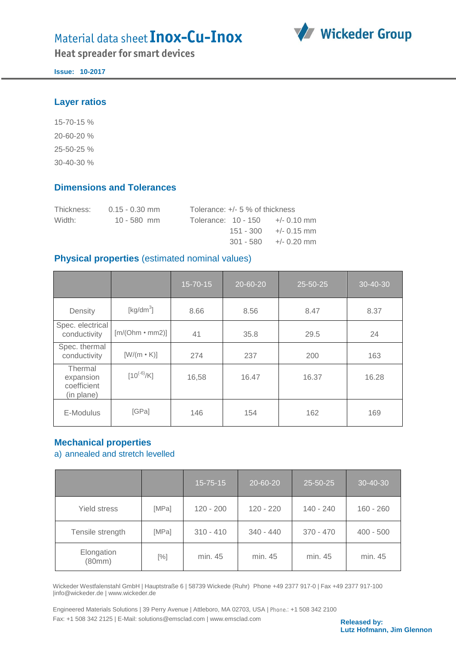# Material data sheet Inox-Cu-Inox





**Issue: 10-2017**

#### **Layer ratios**

15-70-15 % 20-60-20 % 25-50-25 % 30-40-30 %

### **Dimensions and Tolerances**

| Thickness: | $0.15 - 0.30$ mm | Tolerance: $+/- 5$ % of thickness  |                          |
|------------|------------------|------------------------------------|--------------------------|
| Width:     | $10 - 580$ mm    | Tolerance: $10 - 150 + (-0.10)$ mm |                          |
|            |                  |                                    | $151 - 300 + (-0.15)$ mm |
|            |                  |                                    | $301 - 580 + (-0.20$ mm  |

### **Physical properties** (estimated nominal values)

|                                                   |                       | 15-70-15 | 20-60-20 | 25-50-25 | 30-40-30 |
|---------------------------------------------------|-----------------------|----------|----------|----------|----------|
| Density                                           | [ $kg/dm3$ ]          | 8.66     | 8.56     | 8.47     | 8.37     |
| Spec. electrical<br>conductivity                  | $[m/(Ohm \cdot mm2)]$ | 41       | 35.8     | 29.5     | 24       |
| Spec. thermal<br>conductivity                     | $[W/(m \cdot K)]$     | 274      | 237      | 200      | 163      |
| Thermal<br>expansion<br>coefficient<br>(in plane) | $[10^{(-6)}/K]$       | 16,58    | 16.47    | 16.37    | 16.28    |
| E-Modulus                                         | [GPa]                 | 146      | 154      | 162      | 169      |

## **Mechanical properties**

a) annealed and stretch levelled

|                      |        | $15 - 75 - 15$ | 20-60-20    | 25-50-25    | 30-40-30    |
|----------------------|--------|----------------|-------------|-------------|-------------|
| Yield stress         | [MPa]  | $120 - 200$    | $120 - 220$ | 140 - 240   | $160 - 260$ |
| Tensile strength     | [MPa]  | $310 - 410$    | $340 - 440$ | $370 - 470$ | $400 - 500$ |
| Elongation<br>(80mm) | $[\%]$ | min. 45        | min. 45     | min. 45     | min. 45     |

Wickeder Westfalenstahl GmbH | Hauptstraße 6 | 58739 Wickede (Ruhr) Phone +49 2377 917-0 | Fax +49 2377 917-100 |info@wickeder.de | www.wickeder.de

Engineered Materials Solutions | 39 Perry Avenue | Attleboro, MA 02703, USA | Phone.: +1 508 342 2100 Fax: +1 508 342 2125 | E-Mail: solutions@emsclad.com | www.emsclad.com **Released by: Released by:** 

**Lutz Hofmann, Jim Glennon**